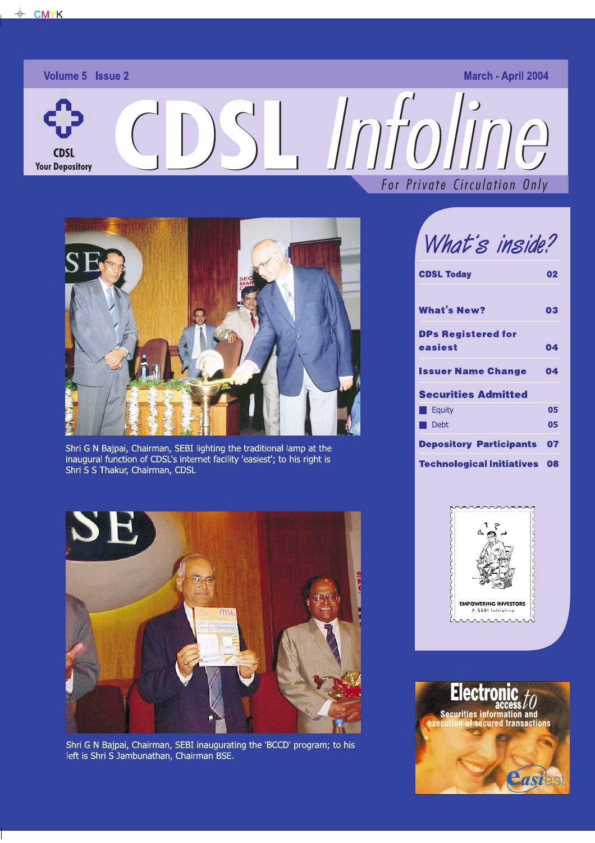**CDSI Your Depository** 

# Volume 5 Issue 2 March - April 2004



Shri G N Bajpai, Chairman, SEBI lighting the traditional lamp at the inaugural function of CDSL's internet facility 'easiest'; to his right is Shri S S Thakur, Chairman, CDSL



Shri G N Bajpai, Chairman, SEBI inaugurating the 'BCCD' program; to his left is Shri S Jambunathan, Chairman BSE.

For Private Circulation Only

# What's inside?

| <b>CDSL Today</b>                    | 02 |
|--------------------------------------|----|
| <b>What's New?</b>                   | 03 |
| <b>DPs Registered for</b><br>easiest | 04 |
| <b>Issuer Name Change</b>            | 04 |
| <b>Securities Admitted</b>           |    |
| <b>Equity</b>                        | 05 |
| Debt                                 | 05 |
| <b>Depository Participants</b>       | 07 |
| <b>Technological Initiatives</b>     | 08 |



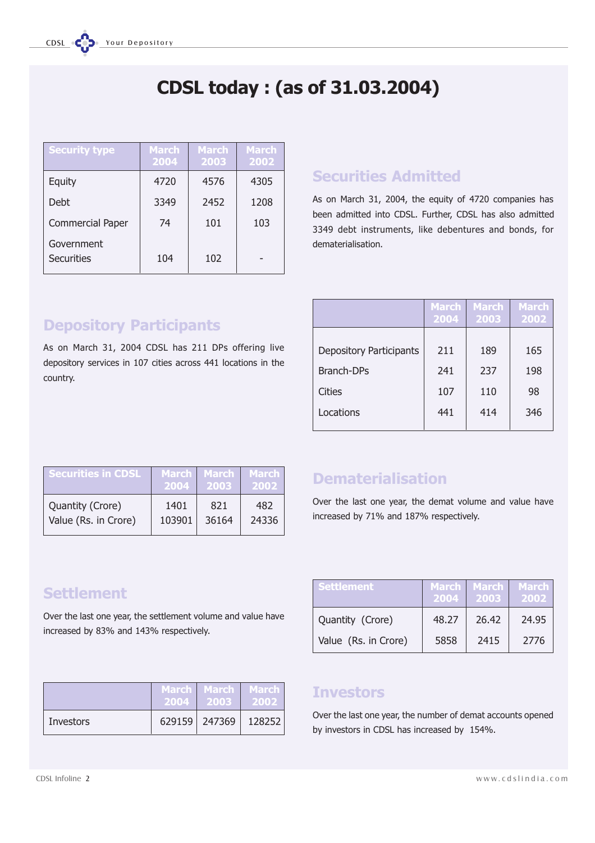# CDSL today : (as of 31.03.2004)

| <b>Security type</b>     | <b>March</b><br>2004 | <b>March</b><br>2003 | <b>March</b><br>2002 |
|--------------------------|----------------------|----------------------|----------------------|
| Equity                   | 4720                 | 4576                 | 4305                 |
| Debt                     | 3349                 | 2452                 | 1208                 |
| <b>Commercial Paper</b>  | 74                   | 101                  | 103                  |
| Government<br>Securities | 104                  | 102                  |                      |

## Securities Admitted

As on March 31, 2004, the equity of 4720 companies has been admitted into CDSL. Further, CDSL has also admitted 3349 debt instruments, like debentures and bonds, for dematerialisation.

|                                | <b>March</b><br>2004 | <b>March</b><br>2003 | <b>March</b><br>2002 |
|--------------------------------|----------------------|----------------------|----------------------|
| <b>Depository Participants</b> | 211                  | 189                  | 165                  |
| <b>Branch-DPs</b>              | 241                  | 237                  | 198                  |
| Cities                         | 107                  | 110                  | 98                   |
| Locations                      | 441                  | 414                  | 346                  |

# Depository Participants

As on March 31, 2004 CDSL has 211 DPs offering live depository services in 107 cities across 441 locations in the country.

| ' Securities in CDSL | <b>March</b> | <b>March</b> | March I |
|----------------------|--------------|--------------|---------|
|                      | 2004         | 2003         | 2002    |
| Quantity (Crore)     | 1401         | 821          | 482     |
| Value (Rs. in Crore) | 103901       | 36164        | 24336   |

## Dematerialisation

Over the last one year, the demat volume and value have increased by 71% and 187% respectively.

## **Settlement**

Over the last one year, the settlement volume and value have increased by 83% and 143% respectively.

| <b>Settlement</b>    | 2004  | March   March<br>2003 | March I<br>2002 |
|----------------------|-------|-----------------------|-----------------|
| Quantity (Crore)     | 48.27 | 26.42                 | 24.95           |
| Value (Rs. in Crore) | 5858  | 2415                  | 2776            |

|           | 2004 | March   March   <br>2003 | 'March<br>2002 |
|-----------|------|--------------------------|----------------|
| Investors |      | 629159 247369            | 128252         |

## **Investors**

Over the last one year, the number of demat accounts opened by investors in CDSL has increased by 154%.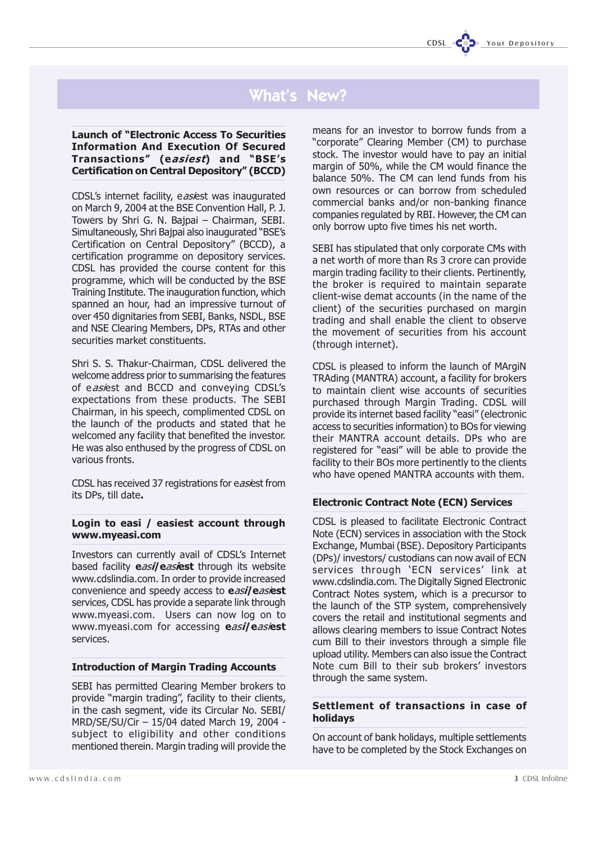## What's New?

Launch of "Electronic Access To Securities" Information And Execution Of Secured Transactions" (easiest) and "BSE's Certification on Central Depository" (BCCD)

CDSL's internet facility, easiest was inaugurated on March 9, 2004 at the BSE Convention Hall, P. J. Towers by Shri G. N. Bajpai - Chairman, SEBI. Simultaneously, Shri Bajpai also inaugurated "BSE's Certification on Central Depository" (BCCD), a certification programme on depository services. CDSL has provided the course content for this programme, which will be conducted by the BSE Training Institute. The inauguration function, which spanned an hour, had an impressive turnout of over 450 dignitaries from SEBI, Banks, NSDL, BSE and NSE Clearing Members, DPs, RTAs and other securities market constituents.

Shri S. S. Thakur-Chairman, CDSL delivered the welcome address prior to summarising the features of easiest and BCCD and conveying CDSL's expectations from these products. The SEBI Chairman, in his speech, complimented CDSL on the launch of the products and stated that he welcomed any facility that benefited the investor. He was also enthused by the progress of CDSL on various fronts.

CDSL has received 37 registrations for easiest from its DPs, till date.

#### Login to easi / easiest account through www.myeasi.com

Investors can currently avail of CDSL's Internet based facility easil easiest through its website www.cdslindia.com. In order to provide increased convenience and speedy access to easil easiest services, CDSL has provide a separate link through www.myeasi.com. Users can now log on to www.myeasi.com for accessing easileasiest services.

#### Introduction of Margin Trading Accounts

SEBI has permitted Clearing Member brokers to provide "margin trading", facility to their clients, in the cash segment, vide its Circular No. SEBI/ MRD/SE/SU/Cir 15/04 dated March 19, 2004 subject to eligibility and other conditions mentioned therein. Margin trading will provide the

means for an investor to borrow funds from a "corporate" Clearing Member (CM) to purchase stock. The investor would have to pay an initial margin of 50%, while the CM would finance the balance 50%. The CM can lend funds from his own resources or can borrow from scheduled commercial banks and/or non-banking finance companies regulated by RBI. However, the CM can only borrow upto five times his net worth.

SEBI has stipulated that only corporate CMs with a net worth of more than Rs 3 crore can provide margin trading facility to their clients. Pertinently, the broker is required to maintain separate client-wise demat accounts (in the name of the client) of the securities purchased on margin trading and shall enable the client to observe the movement of securities from his account (through internet).

CDSL is pleased to inform the launch of MArgiN TRAding (MANTRA) account, a facility for brokers to maintain client wise accounts of securities purchased through Margin Trading. CDSL will provide its internet based facility "easi" (electronic access to securities information) to BOs for viewing their MANTRA account details. DPs who are registered for "easi" will be able to provide the facility to their BOs more pertinently to the clients who have opened MANTRA accounts with them.

#### Electronic Contract Note (ECN) Services

CDSL is pleased to facilitate Electronic Contract Note (ECN) services in association with the Stock Exchange, Mumbai (BSE). Depository Participants (DPs)/ investors/ custodians can now avail of ECN services through 'ECN services' link at www.cdslindia.com. The Digitally Signed Electronic Contract Notes system, which is a precursor to the launch of the STP system, comprehensively covers the retail and institutional segments and allows clearing members to issue Contract Notes cum Bill to their investors through a simple file upload utility. Members can also issue the Contract Note cum Bill to their sub brokers' investors through the same system.

#### Settlement of transactions in case of holidays

On account of bank holidays, multiple settlements have to be completed by the Stock Exchanges on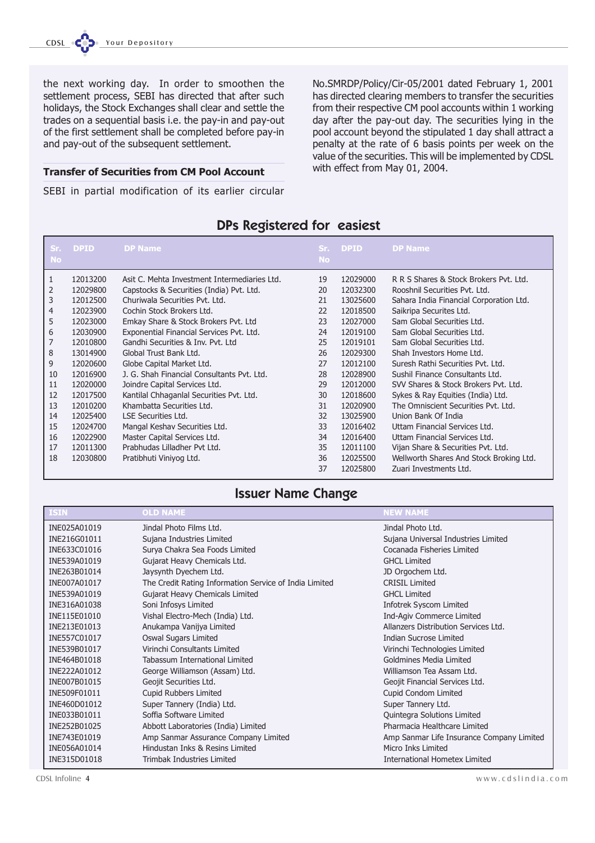the next working day. In order to smoothen the settlement process, SEBI has directed that after such holidays, the Stock Exchanges shall clear and settle the trades on a sequential basis i.e. the pay-in and pay-out of the first settlement shall be completed before pay-in and pay-out of the subsequent settlement.

#### Transfer of Securities from CM Pool Account

SEBI in partial modification of its earlier circular

No.SMRDP/Policy/Cir-05/2001 dated February 1, 2001 has directed clearing members to transfer the securities from their respective CM pool accounts within 1 working day after the pay-out day. The securities lying in the pool account beyond the stipulated 1 day shall attract a penalty at the rate of 6 basis points per week on the value of the securities. This will be implemented by CDSL with effect from May 01, 2004.

## DPs Registered for easiest

| Sr.            | <b>DPID</b> | <b>DP Name</b>                               |           | Sr. DPID | <b>DP Name</b>                          |
|----------------|-------------|----------------------------------------------|-----------|----------|-----------------------------------------|
| <b>No</b>      |             |                                              | <b>No</b> |          |                                         |
| 1              | 12013200    | Asit C. Mehta Investment Intermediaries Ltd. | 19        | 12029000 | R R S Shares & Stock Brokers Pvt. Ltd.  |
| 2              | 12029800    | Capstocks & Securities (India) Pvt. Ltd.     | 20        | 12032300 | Rooshnil Securities Pvt. Ltd.           |
| 3              | 12012500    | Churiwala Securities Pvt. Ltd.               | 21        | 13025600 | Sahara India Financial Corporation Ltd. |
| $\overline{4}$ | 12023900    | Cochin Stock Brokers Ltd.                    | 22        | 12018500 | Saikripa Securites Ltd.                 |
| 5              | 12023000    | Emkay Share & Stock Brokers Pvt. Ltd         | 23        | 12027000 | Sam Global Securities Ltd.              |
| 6              | 12030900    | Exponential Financial Services Pvt. Ltd.     | 24        | 12019100 | Sam Global Securities Ltd.              |
| 7              | 12010800    | Gandhi Securities & Inv. Pvt. Ltd            | 25        | 12019101 | Sam Global Securities Ltd.              |
| 8              | 13014900    | Global Trust Bank Ltd.                       | 26        | 12029300 | Shah Investors Home Ltd.                |
| 9              | 12020600    | Globe Capital Market Ltd.                    | 27        | 12012100 | Suresh Rathi Securities Pvt. Ltd.       |
| 10             | 12016900    | J. G. Shah Financial Consultants Pvt. Ltd.   | 28        | 12028900 | Sushil Finance Consultants Ltd.         |
| 11             | 12020000    | Joindre Capital Services Ltd.                | 29        | 12012000 | SVV Shares & Stock Brokers Pvt. Ltd.    |
| 12             | 12017500    | Kantilal Chhaganlal Securities Pvt. Ltd.     | 30        | 12018600 | Sykes & Ray Equities (India) Ltd.       |
| 13             | 12010200    | Khambatta Securities Ltd.                    | 31        | 12020900 | The Omniscient Securities Pyt. Ltd.     |
| 14             | 12025400    | <b>LSE Securities Ltd.</b>                   | 32        | 13025900 | Union Bank Of India                     |
| 15             | 12024700    | Mangal Keshav Securities Ltd.                | 33        | 12016402 | Uttam Financial Services Ltd.           |
| 16             | 12022900    | Master Capital Services Ltd.                 | 34        | 12016400 | Uttam Financial Services Ltd.           |
| 17             | 12011300    | Prabhudas Lilladher Pvt Ltd.                 | 35        | 12011100 | Vijan Share & Securities Pvt. Ltd.      |
| 18             | 12030800    | Pratibhuti Viniyog Ltd.                      | 36        | 12025500 | Wellworth Shares And Stock Broking Ltd. |
|                |             |                                              | 37        | 12025800 | Zuari Investments Ltd.                  |

### Issuer Name Change

| <b>ISIN</b>  | <b>OLD NAME</b>                                        | <b>NEW NAME</b>                           |
|--------------|--------------------------------------------------------|-------------------------------------------|
| INE025A01019 | Jindal Photo Films Ltd.                                | Jindal Photo Ltd.                         |
| INE216G01011 | Sujana Industries Limited                              | Sujana Universal Industries Limited       |
| INE633C01016 | Surya Chakra Sea Foods Limited                         | Cocanada Fisheries Limited                |
| INE539A01019 | Gujarat Heavy Chemicals Ltd.                           | <b>GHCL Limited</b>                       |
| INE263B01014 | Jaysynth Dyechem Ltd.                                  | JD Orgochem Ltd.                          |
| INE007A01017 | The Credit Rating Information Service of India Limited | <b>CRISIL Limited</b>                     |
| INE539A01019 | Gujarat Heavy Chemicals Limited                        | <b>GHCL Limited</b>                       |
| INE316A01038 | Soni Infosys Limited                                   | Infotrek Syscom Limited                   |
| INE115E01010 | Vishal Electro-Mech (India) Ltd.                       | Ind-Agiv Commerce Limited                 |
| INE213E01013 | Anukampa Vanijya Limited                               | Allanzers Distribution Services Ltd.      |
| INE557C01017 | Oswal Sugars Limited                                   | <b>Indian Sucrose Limited</b>             |
| INE539B01017 | Virinchi Consultants Limited                           | Virinchi Technologies Limited             |
| INE464B01018 | Tabassum International Limited                         | Goldmines Media Limited                   |
| INE222A01012 | George Williamson (Assam) Ltd.                         | Williamson Tea Assam Ltd.                 |
| INE007B01015 | Geojit Securities Ltd.                                 | Geojit Financial Services Ltd.            |
| INE509F01011 | <b>Cupid Rubbers Limited</b>                           | Cupid Condom Limited                      |
| INE460D01012 | Super Tannery (India) Ltd.                             | Super Tannery Ltd.                        |
| INE033B01011 | Soffia Software Limited                                | Quintegra Solutions Limited               |
| INE252B01025 | Abbott Laboratories (India) Limited                    | Pharmacia Healthcare Limited              |
| INE743E01019 | Amp Sanmar Assurance Company Limited                   | Amp Sanmar Life Insurance Company Limited |
| INE056A01014 | Hindustan Inks & Resins Limited                        | Micro Inks Limited                        |
| INE315D01018 | Trimbak Industries Limited                             | <b>International Hometex Limited</b>      |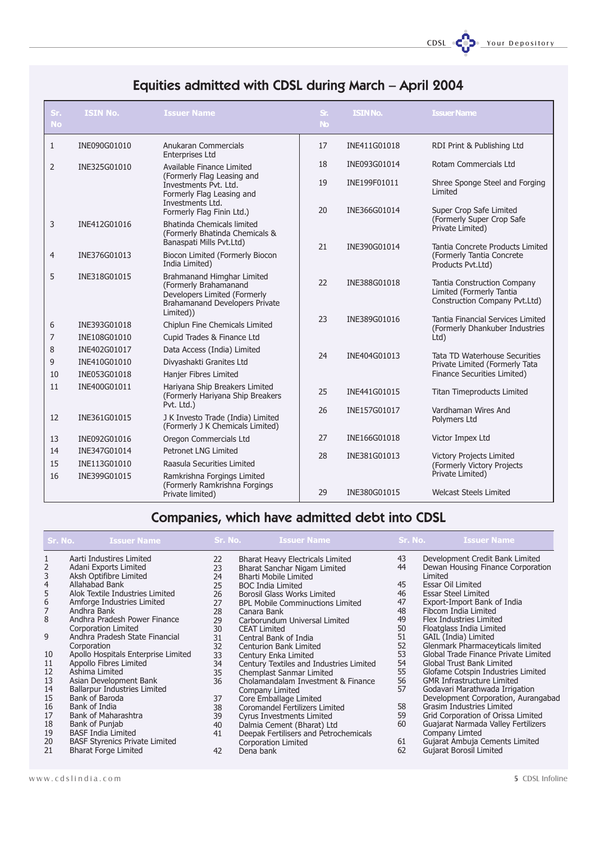CDSL **COD** Your Depository

# Equities admitted with CDSL during March April 2004

| Sr.<br><b>No</b> | <b>ISIN No.</b> | <b>Issuer Name</b>                                                                                                                        | S <sub>1</sub><br><b>No</b> | <b>ISIN No.</b> | <b>Issuer Name</b>                                                                       |
|------------------|-----------------|-------------------------------------------------------------------------------------------------------------------------------------------|-----------------------------|-----------------|------------------------------------------------------------------------------------------|
| $\mathbf{1}$     | INE090G01010    | Anukaran Commercials<br><b>Enterprises Ltd</b>                                                                                            | 17                          | INE411G01018    | RDI Print & Publishing Ltd                                                               |
| $\overline{2}$   | INE325G01010    | Available Finance Limited                                                                                                                 | 18                          | INE093G01014    | Rotam Commercials Ltd                                                                    |
|                  |                 | (Formerly Flag Leasing and<br>Investments Pvt. Ltd.<br>Formerly Flag Leasing and<br>Investments Ltd.                                      | 19                          | INE199F01011    | Shree Sponge Steel and Forging<br>Limited                                                |
|                  |                 | Formerly Flag Finin Ltd.)                                                                                                                 | 20                          | INE366G01014    | Super Crop Safe Limited                                                                  |
| 3                | INE412G01016    | <b>Bhatinda Chemicals limited</b><br>(Formerly Bhatinda Chemicals &                                                                       |                             |                 | (Formerly Super Crop Safe<br>Private Limited)                                            |
| 4                | INE376G01013    | Banaspati Mills Pvt.Ltd)<br>Biocon Limited (Formerly Biocon<br>India Limited)                                                             | 21                          | INE390G01014    | Tantia Concrete Products Limited<br>(Formerly Tantia Concrete<br>Products Pvt.Ltd)       |
| 5                | INE318G01015    | Brahmanand Himghar Limited<br>(Formerly Brahamanand<br>Developers Limited (Formerly<br><b>Brahamanand Developers Private</b><br>Limited)) | 22                          | INE388G01018    | Tantia Construction Company<br>Limited (Formerly Tantia<br>Construction Company Pvt.Ltd) |
| 6                | INE393G01018    | Chiplun Fine Chemicals Limited                                                                                                            | 23                          | INE389G01016    | Tantia Financial Services Limited                                                        |
| 7                | INE108G01010    | Cupid Trades & Finance Ltd                                                                                                                |                             |                 | (Formerly Dhankuber Industries<br>$Ltd$ )                                                |
| 8                | INE402G01017    | Data Access (India) Limited                                                                                                               |                             |                 |                                                                                          |
| 9                | INE410G01010    | Divyashakti Granites Ltd                                                                                                                  | 24                          | INE404G01013    | Tata TD Waterhouse Securities<br>Private Limited (Formerly Tata                          |
| 10               | INE053G01018    | Hanjer Fibres Limited                                                                                                                     |                             |                 | Finance Securities Limited)                                                              |
| 11               | INE400G01011    | Hariyana Ship Breakers Limited<br>(Formerly Hariyana Ship Breakers<br>Pvt. Ltd.)                                                          | 25                          | INE441G01015    | <b>Titan Timeproducts Limited</b>                                                        |
| 12               | INE361G01015    | J K Investo Trade (India) Limited<br>(Formerly J K Chemicals Limited)                                                                     | 26                          | INE157G01017    | Vardhaman Wires And<br>Polymers Ltd                                                      |
| 13               | INE092G01016    | Oregon Commercials Ltd                                                                                                                    | 27                          | INE166G01018    | Victor Impex Ltd                                                                         |
| 14               | INE347G01014    | <b>Petronet LNG Limited</b>                                                                                                               | 28                          | INE381G01013    | <b>Victory Projects Limited</b>                                                          |
| 15               | INE113G01010    | Raasula Securities Limited                                                                                                                |                             |                 | (Formerly Victory Projects                                                               |
| 16               | INE399G01015    | Ramkrishna Forgings Limited                                                                                                               |                             |                 | Private Limited)                                                                         |
|                  |                 | (Formerly Ramkrishna Forgings<br>Private limited)                                                                                         | 29                          | INE380G01015    | <b>Welcast Steels Limited</b>                                                            |

# Companies, which have admitted debt into CDSL

| Sr. No.                               | <b>Issuer Name</b>                              | Sr. No.  | <b>Issuer Name</b>                                           | Sr. No. | <b>Issuer Name</b>                           |
|---------------------------------------|-------------------------------------------------|----------|--------------------------------------------------------------|---------|----------------------------------------------|
| 1                                     | Aarti Industires Limited                        | 22       | Bharat Heavy Electricals Limited                             | 43      | Development Credit Bank Limited              |
| 2<br>3<br>4<br>5                      | Adani Exports Limited<br>Aksh Optifibre Limited | 23<br>24 | Bharat Sanchar Nigam Limited<br><b>Bharti Mobile Limited</b> | 44      | Dewan Housing Finance Corporation<br>Limited |
|                                       | Allahabad Bank                                  | 25       | <b>BOC India Limited</b>                                     | 45      | <b>Essar Oil Limited</b>                     |
|                                       | Alok Textile Industries Limited                 | 26       | <b>Borosil Glass Works Limited</b>                           | 46      | <b>Essar Steel Limited</b>                   |
|                                       | Amforge Industries Limited                      | 27       | <b>BPL Mobile Comminuctions Limited</b>                      | 47      | Export-Import Bank of India                  |
| $\begin{array}{c} 6 \\ 7 \end{array}$ | Andhra Bank                                     | 28       | Canara Bank                                                  | 48      | Fibcom India Limited                         |
| 8                                     | Andhra Pradesh Power Finance                    | 29       | Carborundum Universal Limited                                | 49      | Flex Industries Limited                      |
|                                       | Corporation Limited                             | 30       | <b>CEAT Limited</b>                                          | 50      | Floatglass India Limited                     |
| 9                                     | Andhra Pradesh State Financial                  | 31       | Central Bank of India                                        | 51      | GAIL (India) Limited                         |
|                                       | Corporation                                     | 32       | Centurion Bank Limited                                       | 52      | Glenmark Pharmaceyticals limited             |
| 10                                    | Apollo Hospitals Enterprise Limited             | 33       | Century Enka Limited                                         | 53      | Global Trade Finance Private Limited         |
| 11                                    | Appollo Fibres Limited                          | 34       | Century Textiles and Industries Limited                      | 54      | <b>Global Trust Bank Limited</b>             |
| 12                                    | Ashima Limited                                  | 35       | Chemplast Sanmar Limited                                     | 55      | Glofame Cotspin Industries Limited           |
| 13                                    | Asian Development Bank                          | 36       | Cholamandalam Investment & Finance                           | 56      | <b>GMR Infrastructure Limited</b>            |
| 14                                    | <b>Ballarpur Industries Limited</b>             |          | Company Limited                                              | 57      | Godavari Marathwada Irrigation               |
| 15                                    | Bank of Baroda                                  | 37       | Core Emballage Limited                                       |         | Development Corporation, Aurangabad          |
| 16                                    | Bank of India                                   | 38       | <b>Coromandel Fertilizers Limited</b>                        | 58      | <b>Grasim Industries Limited</b>             |
| 17                                    | Bank of Maharashtra                             | 39       | <b>Cyrus Investments Limited</b>                             | 59      | Grid Corporation of Orissa Limited           |
| 18                                    | Bank of Punjab                                  | 40       | Dalmia Cement (Bharat) Ltd                                   | 60      | Guajarat Narmada Valley Fertilizers          |
| 19                                    | <b>BASF India Limited</b>                       | 41       | Deepak Fertilisers and Petrochemicals                        |         | Company Limted                               |
| 20                                    | <b>BASF Styrenics Private Limited</b>           |          | Corporation Limited                                          | 61      | Gujarat Ambuja Cements Limited               |
| 21                                    | <b>Bharat Forge Limited</b>                     | 42       | Dena bank                                                    | 62      | Gujarat Borosil Limited                      |
|                                       |                                                 |          |                                                              |         |                                              |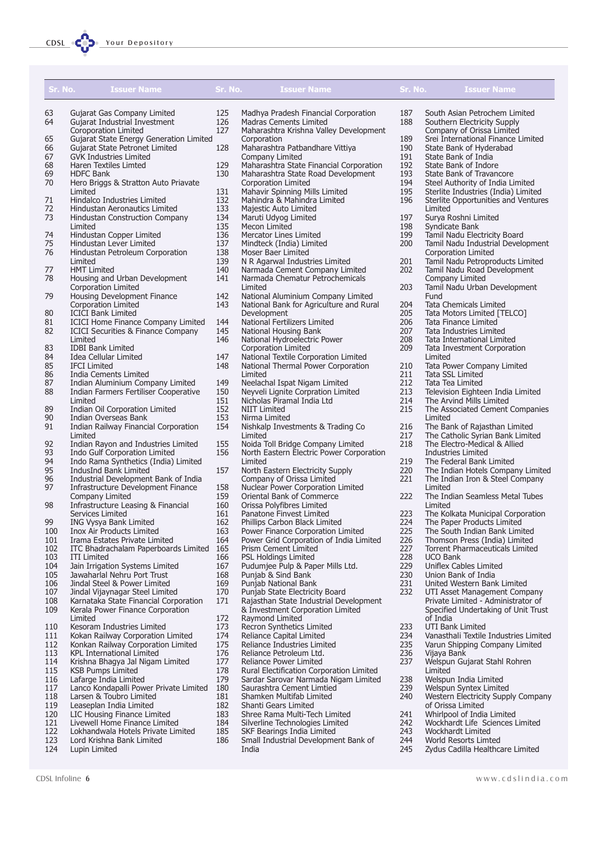| <b>Issuer Name</b><br>Sr. No.                                                         | Sr. No.    | <b>Issuer Name</b>                                               | Sr. No.    | <b>Issuer Name</b>                                                      |
|---------------------------------------------------------------------------------------|------------|------------------------------------------------------------------|------------|-------------------------------------------------------------------------|
| 63<br>Gujarat Gas Company Limited                                                     | 125        | Madhya Pradesh Financial Corporation                             | 187        | South Asian Petrochem Limited                                           |
| 64<br>Gujarat Industrial Investment                                                   | 126        | <b>Madras Cements Limited</b>                                    | 188        | Southern Electricity Supply                                             |
| <b>Coroporation Limited</b>                                                           | 127        | Maharashtra Krishna Valley Development                           |            | Company of Orissa Limited                                               |
| Gujarat State Energy Generation Limited<br>65                                         |            | Corporation                                                      | 189        | Srei International Finance Limited                                      |
| 66<br>Gujarat State Petronet Limited                                                  | 128        | Maharashtra Patbandhare Vittiya                                  | 190        | State Bank of Hyderabad                                                 |
| 67<br><b>GVK Industries Limited</b>                                                   |            | Company Limited                                                  | 191        | State Bank of India                                                     |
| 68<br><b>Haren Textiles Limted</b>                                                    | 129        | Maharashtra State Financial Corporation                          | 192        | State Bank of Indore                                                    |
| 69<br><b>HDFC Bank</b><br>70                                                          | 130        | Maharashtra State Road Development<br>Corporation Limited        | 193<br>194 | State Bank of Travancore<br>Steel Authority of India Limited            |
| Hero Briggs & Stratton Auto Priavate<br>Limited                                       | 131        | Mahavir Spinning Mills Limited                                   | 195        | Sterlite Industries (India) Limited                                     |
| Hindalco Industries Limited<br>71                                                     | 132        | Mahindra & Mahindra Limited                                      | 196        | Sterlite Opportunities and Ventures                                     |
| 72<br>Hindustan Aeronautics Limited                                                   | 133        | Majestic Auto Limited                                            |            | Limited                                                                 |
| 73<br>Hindustan Construction Company                                                  | 134        | Maruti Udyog Limited                                             | 197        | Surya Roshni Limited                                                    |
| Limited                                                                               | 135        | Mecon Limited                                                    | 198        | Syndicate Bank                                                          |
| 74<br>Hindustan Copper Limited                                                        | 136        | Mercator Lines Limited                                           | 199        | Tamil Nadu Electricity Board                                            |
| 75<br>Hindustan Lever Limited<br>76                                                   | 137        | Mindteck (India) Limited                                         | 200        | Tamil Nadu Industrial Development                                       |
| Hindustan Petroleum Corporation<br>Limited                                            | 138<br>139 | Moser Baer Limited<br>N R Agarwal Industries Limited             | 201        | Corporation Limited<br>Tamil Nadu Petroproducts Limited                 |
| <b>HMT Limited</b><br>77                                                              | 140        | Narmada Cement Company Limited                                   | 202        | Tamil Nadu Road Development                                             |
| 78<br>Housing and Urban Development                                                   | 141        | Narmada Chematur Petrochemicals                                  |            | Company Limited                                                         |
| <b>Corporation Limited</b>                                                            |            | Limited                                                          | 203        | Tamil Nadu Urban Development                                            |
| 79<br>Housing Development Finance                                                     | 142        | National Aluminium Company Limited                               |            | Fund                                                                    |
| Corporation Limited                                                                   | 143        | National Bank for Agriculture and Rural                          | 204        | <b>Tata Chemicals Limited</b>                                           |
| 80<br><b>ICICI Bank Limited</b>                                                       |            | Development                                                      | 205        | Tata Motors Limited [TELCO]                                             |
| 81<br><b>ICICI Home Finance Company Limited</b>                                       | 144        | National Fertilizers Limited                                     | 206        | Tata Finance Limited                                                    |
| 82<br><b>ICICI Securities &amp; Finance Company</b><br>Limited                        | 145<br>146 | National Housing Bank                                            | 207<br>208 | Tata Industries Limited                                                 |
| 83<br><b>IDBI Bank Limited</b>                                                        |            | National Hydroelectric Power<br>Corporation Limited              | 209        | Tata International Limited<br>Tata Investment Corporation               |
| 84<br>Idea Cellular Limited                                                           | 147        | National Textile Corporation Limited                             |            | Limited                                                                 |
| 85<br><b>IFCI Limited</b>                                                             | 148        | National Thermal Power Corporation                               | 210        | Tata Power Company Limited                                              |
| 86<br>India Cements Limited                                                           |            | Limited                                                          | 211        | Tata SSL Limited                                                        |
| 87<br>Indian Aluminium Company Limited                                                | 149        | Neelachal Ispat Nigam Limited                                    | 212        | Tata Tea Limited                                                        |
| 88<br>Indian Farmers Fertiliser Cooperative                                           | 150        | Neyveli Lignite Corpration Limited                               | 213        | Television Eighteen India Limited                                       |
| Limited                                                                               | 151        | Nicholas Piramal India Ltd                                       | 214        | The Arvind Mills Limited                                                |
| 89<br>Indian Oil Corporation Limited<br>90<br>Indian Overseas Bank                    | 152<br>153 | <b>NIIT Limited</b><br>Nirma Limited                             | 215        | The Associated Cement Companies<br>Limited                              |
| 91<br>Indian Railway Financial Corporation                                            | 154        | Nishkalp Investments & Trading Co                                | 216        | The Bank of Rajasthan Limited                                           |
| Limited                                                                               |            | Limited                                                          | 217        | The Catholic Syrian Bank Limited                                        |
| 92<br>Indian Rayon and Industries Limited                                             | 155        | Noida Toll Bridge Company Limited                                | 218        | The Electro-Medical & Allied                                            |
| 93<br>Indo Gulf Corporation Limited                                                   | 156        | North Eastern Electric Power Corporation                         |            | Industries Limited                                                      |
| 94<br>Indo Rama Synthetics (India) Limited                                            |            | Limited                                                          | 219        | The Federal Bank Limited                                                |
| 95<br>IndusInd Bank Limited<br>96                                                     | 157        | North Eastern Electricity Supply                                 | 220        | The Indian Hotels Company Limited                                       |
| Industrial Development Bank of India<br>97<br>Infrastructure Development Finance      | 158        | Company of Orissa Limited<br>Nuclear Power Corporation Limited   | 221        | The Indian Iron & Steel Company<br>Limited                              |
| Company Limited                                                                       | 159        | Oriental Bank of Commerce                                        | 222        | The Indian Seamless Metal Tubes                                         |
| 98<br>Infrastructure Leasing & Financial                                              | 160        | Orissa Polyfibres Limited                                        |            | Limited                                                                 |
| Services Limited                                                                      | 161        | Panatone Finvest Limited                                         | 223        | The Kolkata Municipal Corporation                                       |
| 99<br>ING Vysya Bank Limited                                                          | 162        | Phillips Carbon Black Limited                                    | 224        | The Paper Products Limited                                              |
| Inox Air Products Limited<br>100                                                      | 163        | Power Finance Corporation Limited                                | 225        | The South Indian Bank Limited                                           |
| 101<br>Irama Estates Private Limited                                                  | 164        | Power Grid Corporation of India Limited                          | 226        | Thomson Press (India) Limited                                           |
| 102<br>ITC Bhadrachalam Paperboards Limited<br>103                                    | 165        | <b>Prism Cement Limited</b><br>PSL Holdings Limited              | 227<br>228 | Torrent Pharmaceuticals Limited                                         |
| <b>ITI Limited</b><br>104<br>Jain Irrigation Systems Limited                          | 166<br>167 | Pudumjee Pulp & Paper Mills Ltd.                                 | 229        | <b>UCO Bank</b><br>Uniflex Cables Limited                               |
| 105<br>Jawaharlal Nehru Port Trust                                                    | 168        | Punjab & Sind Bank                                               | 230        | Union Bank of India                                                     |
| 106<br>Jindal Steel & Power Limited                                                   | 169        | Punjab National Bank                                             | 231        | United Western Bank Limited                                             |
| 107<br>Jindal Vijaynagar Steel Limited                                                | 170        | Punjab State Electricity Board                                   | 232        | UTI Asset Management Company                                            |
| 108<br>Karnataka State Financial Corporation                                          | 171        | Rajasthan State Industrial Development                           |            | Private Limited - Administrator of                                      |
| 109<br>Kerala Power Finance Corporation                                               |            | & Investment Corporation Limited                                 |            | Specified Undertaking of Unit Trust                                     |
| Limited                                                                               | 172        | Raymond Limited                                                  |            | of India                                                                |
| 110<br>Kesoram Industries Limited                                                     | 173        | Recron Synthetics Limited                                        | 233        | <b>UTI Bank Limited</b>                                                 |
| 111<br>Kokan Railway Corporation Limited<br>112<br>Konkan Railway Corporation Limited | 174<br>175 | Reliance Capital Limited<br>Reliance Industries Limited          | 234<br>235 | Vanasthali Textile Industries Limited<br>Varun Shipping Company Limited |
| <b>KPL International Limited</b><br>113                                               | 176        | Reliance Petroleum Ltd.                                          | 236        | Vijaya Bank                                                             |
| 114<br>Krishna Bhagya Jal Nigam Limited                                               | 177        | Reliance Power Limited                                           | 237        | Welspun Gujarat Stahl Rohren                                            |
| 115<br><b>KSB Pumps Limited</b>                                                       | 178        | Rural Electification Corporation Limited                         |            | Limited                                                                 |
| 116<br>Lafarge India Limited                                                          | 179        | Sardar Sarovar Narmada Nigam Limited                             | 238        | Welspun India Limited                                                   |
| 117<br>Lanco Kondapalli Power Private Limited                                         | 180        | Saurashtra Cement Limtied                                        | 239        | Welspun Syntex Limited                                                  |
| 118<br>Larsen & Toubro Limited                                                        | 181        | Shamken Multifab Limited                                         | 240        | Western Electricity Supply Company                                      |
| 119<br>Leaseplan India Limited                                                        | 182        | Shanti Gears Limited                                             |            | of Orissa Limited                                                       |
| 120<br>LIC Housing Finance Limited<br>121<br>Livewell Home Finance Limited            | 183<br>184 | Shree Rama Multi-Tech Limited<br>Silverline Technologies Limited | 241<br>242 | Whirlpool of India Limited<br>Wockhardt Life Sciences Limited           |
| 122<br>Lokhandwala Hotels Private Limited                                             | 185        | SKF Bearings India Limited                                       | 243        | Wockhardt Limited                                                       |
|                                                                                       |            |                                                                  |            |                                                                         |

186 Small Industrial Development Bank of

India

- 123 Lord Krishna Bank Limited
- 124 Lupin Limited

244 World Resorts Limted

245 Zydus Cadilla Healthcare Limited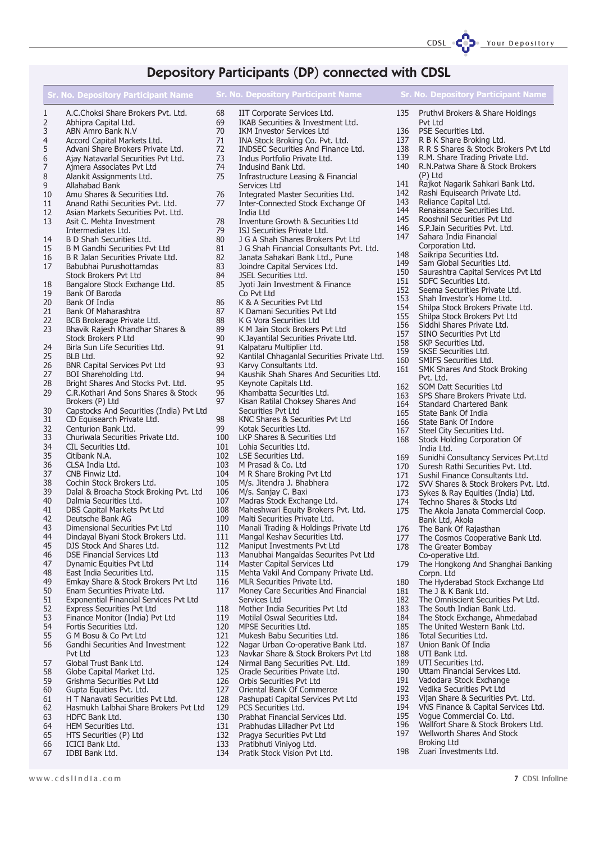## Depository Participants (DP) connected with CDSL

|                     | Sr. No. Depository Participant Name                                    |            | <b>Sr. No. Depository Participant Name</b>                            |            | <b>Sr. No. Depository Participant Name</b>            |
|---------------------|------------------------------------------------------------------------|------------|-----------------------------------------------------------------------|------------|-------------------------------------------------------|
|                     |                                                                        |            |                                                                       |            |                                                       |
| 1                   | A.C.Choksi Share Brokers Pvt. Ltd.                                     | 68         | IIT Corporate Services Ltd.                                           | 135        | Pruthvi Brokers & Share Holdings                      |
| 2                   | Abhipra Capital Ltd.                                                   | 69         | IKAB Securities & Investment Ltd.                                     |            | Pvt Ltd                                               |
| 3<br>$\overline{4}$ | ABN Amro Bank N.V                                                      | 70<br>71   | <b>IKM Investor Services Ltd</b>                                      | 136<br>137 | PSE Securities Ltd.<br>R B K Share Broking Ltd.       |
| 5                   | Accord Capital Markets Ltd.<br>Advani Share Brokers Private Ltd.       | 72         | INA Stock Broking Co. Pvt. Ltd.<br>INDSEC Securities And Finance Ltd. | 138        | R R S Shares & Stock Brokers Pvt Ltd                  |
| 6                   | Ajay Natavarlal Securities Pvt Ltd.                                    | 73         | Indus Portfolio Private Ltd.                                          | 139        | R.M. Share Trading Private Ltd.                       |
| 7                   | Ajmera Associates Pvt Ltd                                              | 74         | Indusind Bank Ltd.                                                    | 140        | R.N. Patwa Share & Stock Brokers                      |
| 8                   | Alankit Assignments Ltd.                                               | 75         | Infrastructure Leasing & Financial                                    |            | (P) Ltd                                               |
| 9                   | Allahabad Bank                                                         |            | Services Ltd                                                          | 141        | Rajkot Nagarik Sahkari Bank Ltd.                      |
| 10                  | Amu Shares & Securities Ltd.                                           | 76         | Integrated Master Securities Ltd.                                     | 142        | Rashi Equisearch Private Ltd.                         |
| 11                  | Anand Rathi Securities Pvt. Ltd.                                       | 77         | Inter-Connected Stock Exchange Of                                     | 143        | Reliance Capital Ltd.                                 |
| 12                  | Asian Markets Securities Pvt. Ltd.                                     |            | India Ltd                                                             | 144        | Renaissance Securities Ltd.                           |
| 13                  | Asit C. Mehta Investment                                               | 78         | Inventure Growth & Securities Ltd                                     | 145        | Rooshnil Securities Pvt Ltd                           |
|                     | Intermediates Ltd.                                                     | 79         | ISJ Securities Private Ltd.                                           | 146        | S.P. Jain Securities Pvt. Ltd.                        |
| 14                  | B D Shah Securities Ltd.                                               | 80         | J G A Shah Shares Brokers Pvt Ltd                                     | 147        | Sahara India Financial                                |
| 15                  | B M Gandhi Securities Pvt Ltd                                          | 81         | J G Shah Financial Consultants Pvt. Ltd.                              |            | Corporation Ltd.                                      |
| 16                  | B R Jalan Securities Private Ltd.                                      | 82         | Janata Sahakari Bank Ltd., Pune                                       | 148        | Saikripa Securities Ltd.                              |
| 17                  | Babubhai Purushottamdas                                                | 83         | Joindre Capital Services Ltd.                                         | 149        | Sam Global Securities Ltd.                            |
|                     | Stock Brokers Pvt Ltd                                                  | 84         | JSEL Securities Ltd.                                                  | 150        | Saurashtra Capital Services Pvt Ltd                   |
| 18                  | Bangalore Stock Exchange Ltd.                                          | 85         | Jyoti Jain Investment & Finance                                       | 151        | SDFC Securities Ltd.<br>Seema Securities Private Ltd. |
| 19                  | Bank Of Baroda                                                         |            | Co Pvt Ltd                                                            | 152<br>153 | Shah Investor's Home Ltd.                             |
| 20                  | Bank Of India                                                          | 86         | K & A Securities Pvt Ltd                                              | 154        | Shilpa Stock Brokers Private Ltd.                     |
| 21                  | <b>Bank Of Maharashtra</b>                                             | 87         | K Damani Securities Pvt Ltd                                           | 155        | Shilpa Stock Brokers Pvt Ltd                          |
| 22                  | BCB Brokerage Private Ltd.                                             | 88         | K G Vora Securities Ltd                                               | 156        | Siddhi Shares Private Ltd.                            |
| 23                  | Bhavik Rajesh Khandhar Shares &                                        | 89         | K M Jain Stock Brokers Pvt Ltd                                        | 157        | SINO Securities Pvt Ltd                               |
|                     | <b>Stock Brokers P Ltd</b>                                             | 90         | K.Jayantilal Securities Private Ltd.                                  | 158        | SKP Securities Ltd.                                   |
| 24                  | Birla Sun Life Securities Ltd.                                         | 91         | Kalpataru Multiplier Ltd.                                             | 159        | <b>SKSE Securities Ltd.</b>                           |
| 25                  | BLB Ltd.                                                               | 92         | Kantilal Chhaganlal Securities Private Ltd.                           | 160        | SMIFS Securities Ltd.                                 |
| 26                  | <b>BNR Capital Services Pvt Ltd</b>                                    | 93         | Karvy Consultants Ltd.                                                | 161        | SMK Shares And Stock Broking                          |
| 27                  | BOI Shareholding Ltd.                                                  | 94         | Kaushik Shah Shares And Securities Ltd.                               |            | Pvt. Ltd.                                             |
| 28                  | Bright Shares And Stocks Pvt. Ltd.                                     | 95         | Keynote Capitals Ltd.                                                 | 162        | SOM Datt Securities Ltd                               |
| 29                  | C.R. Kothari And Sons Shares & Stock                                   | 96<br>97   | Khambatta Securities Ltd.                                             | 163        | SPS Share Brokers Private Ltd.                        |
| 30                  | Brokers (P) Ltd                                                        |            | Kisan Ratilal Choksey Shares And<br>Securities Pvt Ltd                | 164        | Standard Chartered Bank                               |
| 31                  | Capstocks And Securities (India) Pvt Ltd<br>CD Equisearch Private Ltd. | 98         | KNC Shares & Securities Pvt Ltd                                       | 165        | State Bank Of India                                   |
| 32                  | Centurion Bank Ltd.                                                    | 99         | Kotak Securities Ltd.                                                 | 166        | State Bank Of Indore                                  |
| 33                  | Churiwala Securities Private Ltd.                                      | 100        | LKP Shares & Securities Ltd                                           | 167        | Steel City Securities Ltd.                            |
| 34                  | CIL Securities Ltd.                                                    | 101        | Lohia Securities Ltd.                                                 | 168        | Stock Holding Corporation Of                          |
| 35                  | Citibank N.A.                                                          | 102        | LSE Securities Ltd.                                                   | 169        | India Ltd.<br>Sunidhi Consultancy Services Pvt.Ltd    |
| 36                  | CLSA India Ltd.                                                        | 103        | M Prasad & Co. Ltd                                                    | 170        | Suresh Rathi Securities Pvt. Ltd.                     |
| 37                  | CNB Finwiz Ltd.                                                        | 104        | M R Share Broking Pvt Ltd                                             | 171        | Sushil Finance Consultants Ltd.                       |
| 38                  | Cochin Stock Brokers Ltd.                                              | 105        | M/s. Jitendra J. Bhabhera                                             | 172        | SVV Shares & Stock Brokers Pvt. Ltd.                  |
| 39                  | Dalal & Broacha Stock Broking Pvt. Ltd                                 | 106        | M/s. Sanjay C. Baxi                                                   | 173        | Sykes & Ray Equities (India) Ltd.                     |
| 40                  | Dalmia Securities Ltd.                                                 | 107        | Madras Stock Exchange Ltd.                                            | 174        | Techno Shares & Stocks Ltd                            |
| 41                  | DBS Capital Markets Pvt Ltd                                            | 108        | Maheshwari Equity Brokers Pvt. Ltd.                                   | 175        | The Akola Janata Commercial Coop.                     |
| 42                  | Deutsche Bank AG                                                       | 109        | Malti Securities Private Ltd.                                         |            | Bank Ltd, Akola                                       |
| 43                  | Dimensional Securities Pvt Ltd                                         | 110        | Manali Trading & Holdings Private Ltd                                 |            | 176 The Bank Of Rajasthan                             |
| 44                  | Dindayal Biyani Stock Brokers Ltd.                                     | 111        | Mangal Keshav Securities Ltd.                                         | 177        | The Cosmos Cooperative Bank Ltd.                      |
| 45                  | DJS Stock And Shares Ltd.                                              | 112        | Maniput Investments Pvt Ltd                                           | 178        | The Greater Bombay                                    |
| 46                  | <b>DSE Financial Services Ltd</b>                                      | 113        | Manubhai Mangaldas Securites Pvt Ltd                                  |            | Co-operative Ltd.                                     |
| 47                  | Dynamic Equities Pvt Ltd                                               | 114        | Master Capital Services Ltd                                           | 179        | The Hongkong And Shanghai Banking                     |
| 48                  | East India Securities Ltd.                                             | 115        | Mehta Vakil And Company Private Ltd.                                  |            | Corpn. Ltd                                            |
| 49                  | Emkay Share & Stock Brokers Pvt Ltd                                    | 116        | MLR Securities Private Ltd.                                           | 180        | The Hyderabad Stock Exchange Ltd                      |
| 50                  | Enam Securities Private Ltd.                                           | 117        | Money Care Securities And Financial                                   | 181        | The J & K Bank Ltd.                                   |
| 51                  | <b>Exponential Financial Services Pvt Ltd</b>                          |            | Services Ltd                                                          | 182        | The Omniscient Securities Pvt Ltd.                    |
| 52                  | <b>Express Securities Pvt Ltd</b>                                      | 118        | Mother India Securities Pvt Ltd                                       | 183        | The South Indian Bank Ltd.                            |
| 53                  | Finance Monitor (India) Pvt Ltd                                        | 119        | Motilal Oswal Securities Ltd.                                         | 184        | The Stock Exchange, Ahmedabad                         |
| 54                  | Fortis Securities Ltd.                                                 | 120        | MPSE Securities Ltd.                                                  | 185        | The United Western Bank Ltd.                          |
| 55                  | G M Bosu & Co Pvt Ltd                                                  | 121        | Mukesh Babu Securities Ltd.                                           | 186        | Total Securities Ltd.                                 |
| 56                  | Gandhi Securities And Investment                                       | 122        | Nagar Urban Co-operative Bank Ltd.                                    | 187        | Union Bank Of India<br>UTI Bank Ltd.                  |
|                     | Pvt Ltd<br>Global Trust Bank Ltd.                                      | 123<br>124 | Navkar Share & Stock Brokers Pvt Ltd                                  | 188<br>189 | UTI Securities Ltd.                                   |
| 57                  |                                                                        | 125        | Nirmal Bang Securities Pvt. Ltd.<br>Oracle Securities Private Ltd.    | 190        | Uttam Financial Services Ltd.                         |
| 58<br>59            | Globe Capital Market Ltd.<br>Grishma Securities Pvt Ltd                | 126        | Orbis Securities Pvt Ltd                                              | 191        | Vadodara Stock Exchange                               |
| 60                  | Gupta Equities Pvt. Ltd.                                               | 127        | Oriental Bank Of Commerce                                             | 192        | Vedika Securities Pvt Ltd                             |
| 61                  | H T Nanavati Securities Pvt Ltd.                                       | 128        | Pashupati Capital Services Pvt Ltd                                    | 193        | Vijan Share & Securities Pvt. Ltd.                    |
| 62                  | Hasmukh Lalbhai Share Brokers Pvt Ltd                                  | 129        | PCS Securities Ltd.                                                   | 194        | VNS Finance & Capital Services Ltd.                   |
| 63                  | HDFC Bank Ltd.                                                         | 130        | Prabhat Financial Services Ltd.                                       | 195        | Voque Commercial Co. Ltd.                             |
| 64                  | HEM Securities Ltd.                                                    | 131        | Prabhudas Lilladher Pvt Ltd                                           | 196        | Wallfort Share & Stock Brokers Ltd.                   |
| 65                  | HTS Securities (P) Ltd                                                 | 132        | Pragya Securities Pvt Ltd                                             | 197        | Wellworth Shares And Stock                            |
| 66                  | ICICI Bank Ltd.                                                        | 133        | Pratibhuti Viniyog Ltd.                                               |            | Broking Ltd                                           |
|                     |                                                                        |            |                                                                       |            |                                                       |

134 Pratik Stock Vision Pvt Ltd.

- 
- 67 IDBI Bank Ltd.

198 Zuari Investments Ltd.